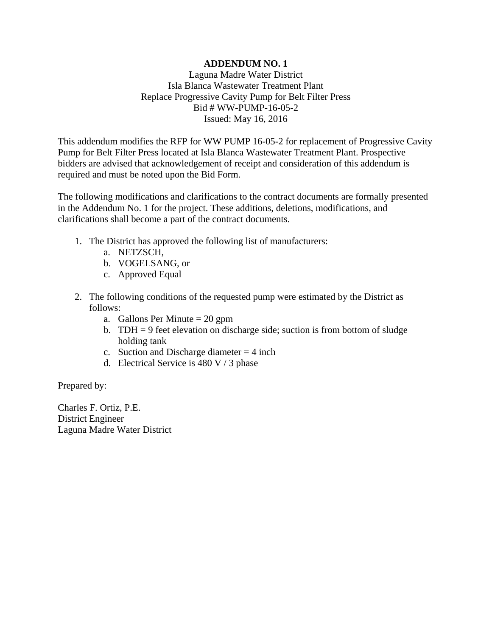## **ADDENDUM NO. 1**

Laguna Madre Water District Isla Blanca Wastewater Treatment Plant Replace Progressive Cavity Pump for Belt Filter Press Bid # WW-PUMP-16-05-2 Issued: May 16, 2016

This addendum modifies the RFP for WW PUMP 16-05-2 for replacement of Progressive Cavity Pump for Belt Filter Press located at Isla Blanca Wastewater Treatment Plant. Prospective bidders are advised that acknowledgement of receipt and consideration of this addendum is required and must be noted upon the Bid Form.

The following modifications and clarifications to the contract documents are formally presented in the Addendum No. 1 for the project. These additions, deletions, modifications, and clarifications shall become a part of the contract documents.

- 1. The District has approved the following list of manufacturers:
	- a. NETZSCH,
	- b. VOGELSANG, or
	- c. Approved Equal
- 2. The following conditions of the requested pump were estimated by the District as follows:
	- a. Gallons Per Minute  $= 20$  gpm
	- b. TDH = 9 feet elevation on discharge side; suction is from bottom of sludge holding tank
	- c. Suction and Discharge diameter  $= 4$  inch
	- d. Electrical Service is  $480 \text{ V} / 3$  phase

Prepared by:

Charles F. Ortiz, P.E. District Engineer Laguna Madre Water District